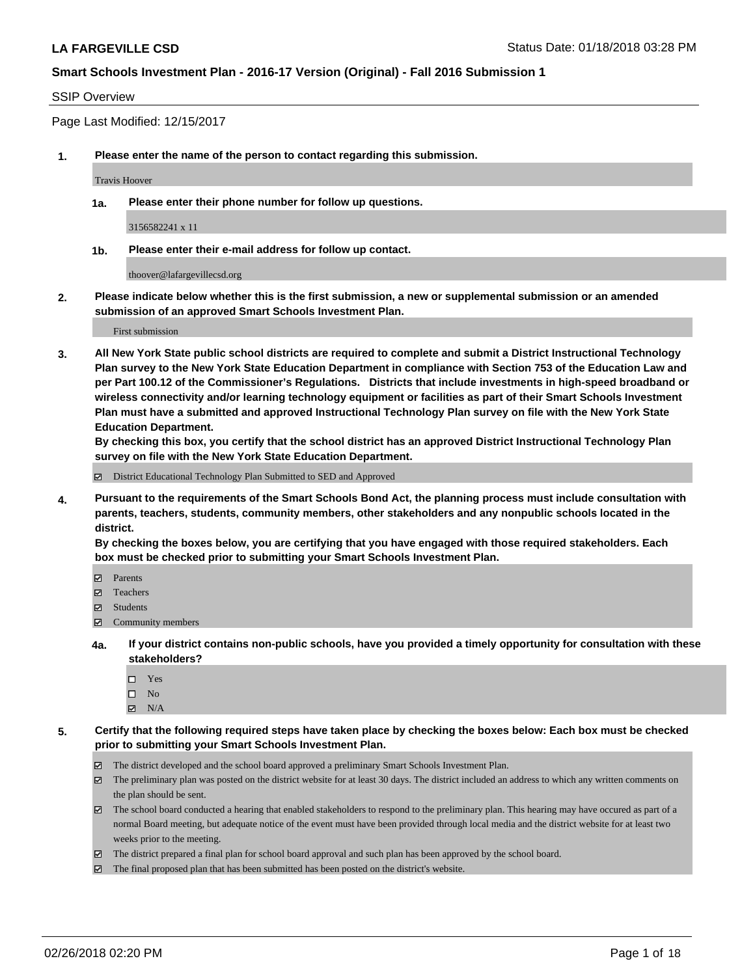#### SSIP Overview

Page Last Modified: 12/15/2017

**1. Please enter the name of the person to contact regarding this submission.**

Travis Hoover

**1a. Please enter their phone number for follow up questions.**

3156582241 x 11

**1b. Please enter their e-mail address for follow up contact.**

thoover@lafargevillecsd.org

**2. Please indicate below whether this is the first submission, a new or supplemental submission or an amended submission of an approved Smart Schools Investment Plan.**

First submission

**3. All New York State public school districts are required to complete and submit a District Instructional Technology Plan survey to the New York State Education Department in compliance with Section 753 of the Education Law and per Part 100.12 of the Commissioner's Regulations. Districts that include investments in high-speed broadband or wireless connectivity and/or learning technology equipment or facilities as part of their Smart Schools Investment Plan must have a submitted and approved Instructional Technology Plan survey on file with the New York State Education Department.** 

**By checking this box, you certify that the school district has an approved District Instructional Technology Plan survey on file with the New York State Education Department.**

District Educational Technology Plan Submitted to SED and Approved

**4. Pursuant to the requirements of the Smart Schools Bond Act, the planning process must include consultation with parents, teachers, students, community members, other stakeholders and any nonpublic schools located in the district.** 

**By checking the boxes below, you are certifying that you have engaged with those required stakeholders. Each box must be checked prior to submitting your Smart Schools Investment Plan.**

- Parents
- Teachers
- Students
- Community members
- **4a. If your district contains non-public schools, have you provided a timely opportunity for consultation with these stakeholders?**
	- Yes
	- $\square$  No
	- $\boxtimes$  N/A
- **5. Certify that the following required steps have taken place by checking the boxes below: Each box must be checked prior to submitting your Smart Schools Investment Plan.**
	- The district developed and the school board approved a preliminary Smart Schools Investment Plan.
	- $\boxtimes$  The preliminary plan was posted on the district website for at least 30 days. The district included an address to which any written comments on the plan should be sent.
	- $\boxtimes$  The school board conducted a hearing that enabled stakeholders to respond to the preliminary plan. This hearing may have occured as part of a normal Board meeting, but adequate notice of the event must have been provided through local media and the district website for at least two weeks prior to the meeting.
	- The district prepared a final plan for school board approval and such plan has been approved by the school board.
	- $\boxtimes$  The final proposed plan that has been submitted has been posted on the district's website.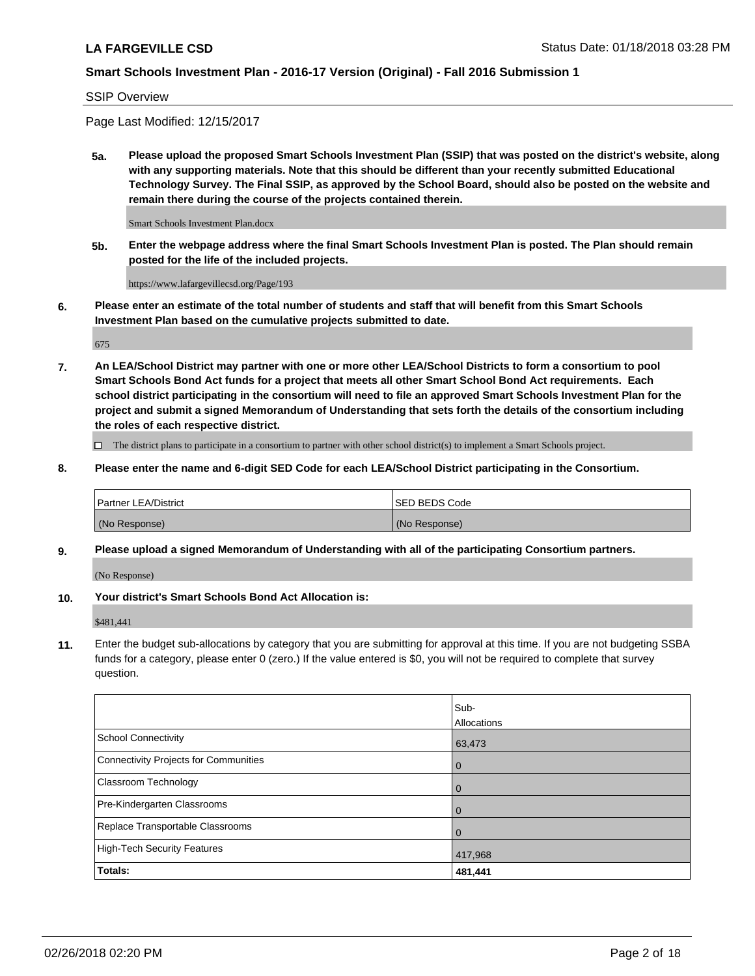#### SSIP Overview

Page Last Modified: 12/15/2017

**5a. Please upload the proposed Smart Schools Investment Plan (SSIP) that was posted on the district's website, along with any supporting materials. Note that this should be different than your recently submitted Educational Technology Survey. The Final SSIP, as approved by the School Board, should also be posted on the website and remain there during the course of the projects contained therein.**

Smart Schools Investment Plan.docx

**5b. Enter the webpage address where the final Smart Schools Investment Plan is posted. The Plan should remain posted for the life of the included projects.**

https://www.lafargevillecsd.org/Page/193

**6. Please enter an estimate of the total number of students and staff that will benefit from this Smart Schools Investment Plan based on the cumulative projects submitted to date.**

675

**7. An LEA/School District may partner with one or more other LEA/School Districts to form a consortium to pool Smart Schools Bond Act funds for a project that meets all other Smart School Bond Act requirements. Each school district participating in the consortium will need to file an approved Smart Schools Investment Plan for the project and submit a signed Memorandum of Understanding that sets forth the details of the consortium including the roles of each respective district.**

 $\Box$  The district plans to participate in a consortium to partner with other school district(s) to implement a Smart Schools project.

**8. Please enter the name and 6-digit SED Code for each LEA/School District participating in the Consortium.**

| <b>Partner LEA/District</b> | <b>ISED BEDS Code</b> |
|-----------------------------|-----------------------|
| (No Response)               | (No Response)         |

#### **9. Please upload a signed Memorandum of Understanding with all of the participating Consortium partners.**

(No Response)

**10. Your district's Smart Schools Bond Act Allocation is:**

\$481,441

**11.** Enter the budget sub-allocations by category that you are submitting for approval at this time. If you are not budgeting SSBA funds for a category, please enter 0 (zero.) If the value entered is \$0, you will not be required to complete that survey question.

|                                              | Sub-<br>Allocations |
|----------------------------------------------|---------------------|
| <b>School Connectivity</b>                   | 63,473              |
| <b>Connectivity Projects for Communities</b> | $\overline{0}$      |
| Classroom Technology                         | $\mathbf 0$         |
| Pre-Kindergarten Classrooms                  | $\Omega$            |
| Replace Transportable Classrooms             | $\Omega$            |
| <b>High-Tech Security Features</b>           | 417,968             |
| Totals:                                      | 481,441             |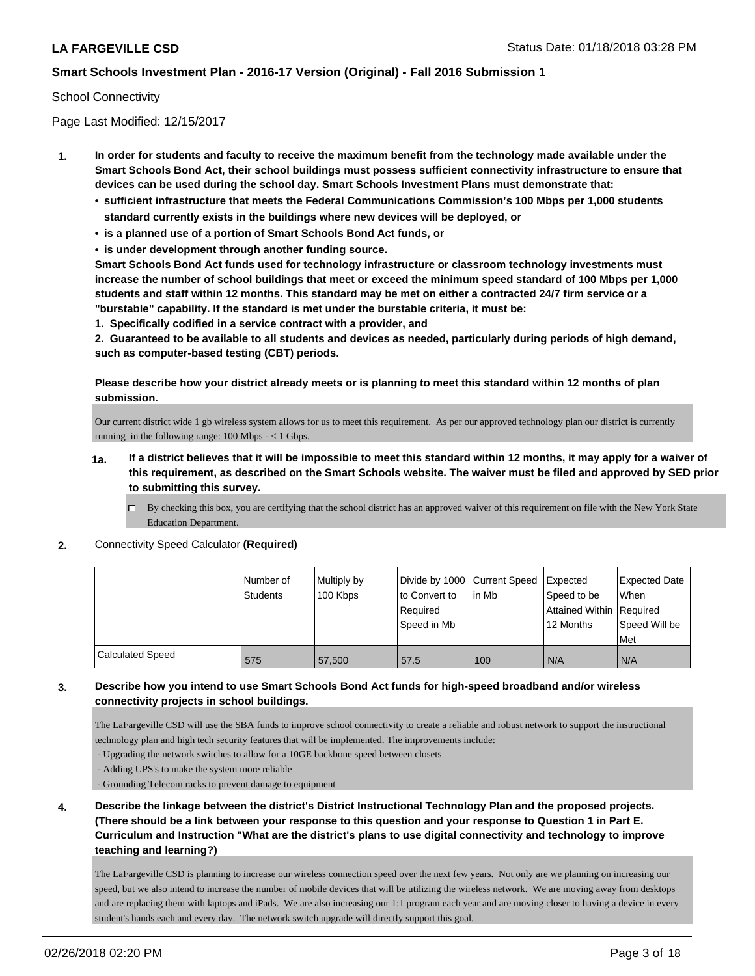#### School Connectivity

Page Last Modified: 12/15/2017

- **1. In order for students and faculty to receive the maximum benefit from the technology made available under the Smart Schools Bond Act, their school buildings must possess sufficient connectivity infrastructure to ensure that devices can be used during the school day. Smart Schools Investment Plans must demonstrate that:**
	- **• sufficient infrastructure that meets the Federal Communications Commission's 100 Mbps per 1,000 students standard currently exists in the buildings where new devices will be deployed, or**
	- **• is a planned use of a portion of Smart Schools Bond Act funds, or**
	- **• is under development through another funding source.**

**Smart Schools Bond Act funds used for technology infrastructure or classroom technology investments must increase the number of school buildings that meet or exceed the minimum speed standard of 100 Mbps per 1,000 students and staff within 12 months. This standard may be met on either a contracted 24/7 firm service or a "burstable" capability. If the standard is met under the burstable criteria, it must be:**

**1. Specifically codified in a service contract with a provider, and**

**2. Guaranteed to be available to all students and devices as needed, particularly during periods of high demand, such as computer-based testing (CBT) periods.**

**Please describe how your district already meets or is planning to meet this standard within 12 months of plan submission.**

Our current district wide 1 gb wireless system allows for us to meet this requirement. As per our approved technology plan our district is currently running in the following range:  $100$  Mbps  $- < 1$  Gbps.

- **1a. If a district believes that it will be impossible to meet this standard within 12 months, it may apply for a waiver of this requirement, as described on the Smart Schools website. The waiver must be filed and approved by SED prior to submitting this survey.**
	- By checking this box, you are certifying that the school district has an approved waiver of this requirement on file with the New York State Education Department.
- **2.** Connectivity Speed Calculator **(Required)**

|                         | Number of | Multiply by | Divide by 1000 Current Speed |        | Expected                 | <b>Expected Date</b> |
|-------------------------|-----------|-------------|------------------------------|--------|--------------------------|----------------------|
|                         | Students  | 100 Kbps    | to Convert to                | lin Mb | Speed to be              | <b>When</b>          |
|                         |           |             | Required                     |        | Attained Within Required |                      |
|                         |           |             | Speed in Mb                  |        | 12 Months                | Speed Will be        |
|                         |           |             |                              |        |                          | Met                  |
| <b>Calculated Speed</b> | 575       | 57,500      | 57.5                         | 100    | N/A                      | N/A                  |

#### **3. Describe how you intend to use Smart Schools Bond Act funds for high-speed broadband and/or wireless connectivity projects in school buildings.**

The LaFargeville CSD will use the SBA funds to improve school connectivity to create a reliable and robust network to support the instructional technology plan and high tech security features that will be implemented. The improvements include:

- Upgrading the network switches to allow for a 10GE backbone speed between closets

- Adding UPS's to make the system more reliable

- Grounding Telecom racks to prevent damage to equipment

**4. Describe the linkage between the district's District Instructional Technology Plan and the proposed projects. (There should be a link between your response to this question and your response to Question 1 in Part E. Curriculum and Instruction "What are the district's plans to use digital connectivity and technology to improve teaching and learning?)**

The LaFargeville CSD is planning to increase our wireless connection speed over the next few years. Not only are we planning on increasing our speed, but we also intend to increase the number of mobile devices that will be utilizing the wireless network. We are moving away from desktops and are replacing them with laptops and iPads. We are also increasing our 1:1 program each year and are moving closer to having a device in every student's hands each and every day. The network switch upgrade will directly support this goal.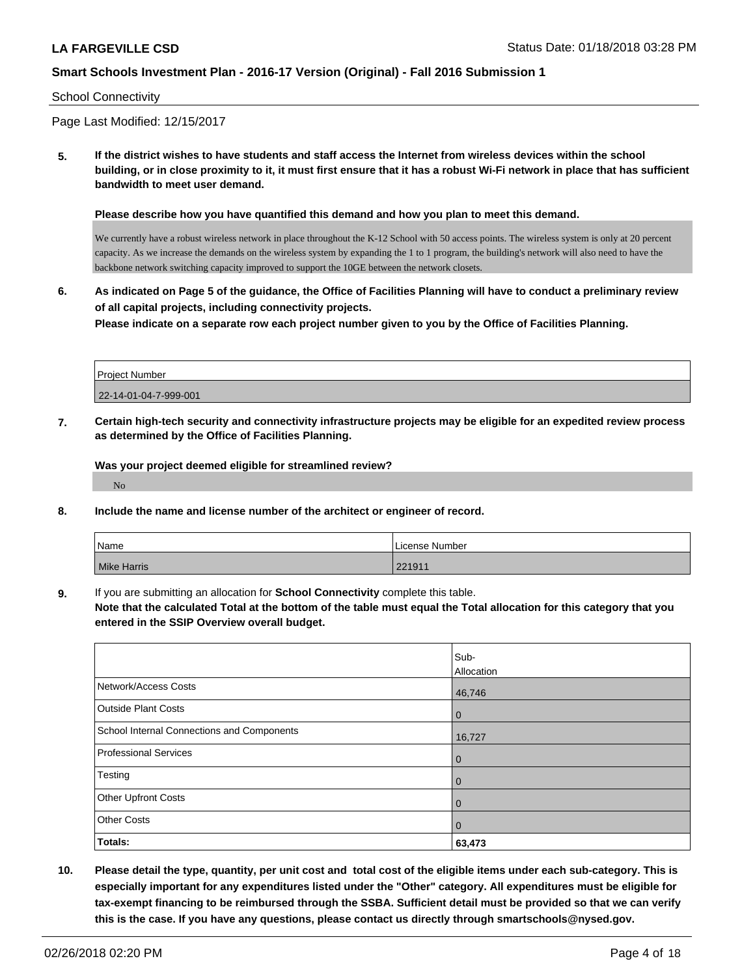#### School Connectivity

Page Last Modified: 12/15/2017

**5. If the district wishes to have students and staff access the Internet from wireless devices within the school building, or in close proximity to it, it must first ensure that it has a robust Wi-Fi network in place that has sufficient bandwidth to meet user demand.**

**Please describe how you have quantified this demand and how you plan to meet this demand.**

We currently have a robust wireless network in place throughout the K-12 School with 50 access points. The wireless system is only at 20 percent capacity. As we increase the demands on the wireless system by expanding the 1 to 1 program, the building's network will also need to have the backbone network switching capacity improved to support the 10GE between the network closets.

**6. As indicated on Page 5 of the guidance, the Office of Facilities Planning will have to conduct a preliminary review of all capital projects, including connectivity projects. Please indicate on a separate row each project number given to you by the Office of Facilities Planning.**

| Project Number        |  |
|-----------------------|--|
| 22-14-01-04-7-999-001 |  |

**7. Certain high-tech security and connectivity infrastructure projects may be eligible for an expedited review process as determined by the Office of Facilities Planning.**

**Was your project deemed eligible for streamlined review?**

No

**8. Include the name and license number of the architect or engineer of record.**

| Name               | License Number |
|--------------------|----------------|
| <b>Mike Harris</b> | 221911         |

**9.** If you are submitting an allocation for **School Connectivity** complete this table.

**Note that the calculated Total at the bottom of the table must equal the Total allocation for this category that you entered in the SSIP Overview overall budget.** 

|                                            | Sub-<br>Allocation |
|--------------------------------------------|--------------------|
| Network/Access Costs                       | 46,746             |
| <b>Outside Plant Costs</b>                 | $\overline{0}$     |
| School Internal Connections and Components | 16,727             |
| Professional Services                      | $\mathbf 0$        |
| Testing                                    | $\mathbf{0}$       |
| <b>Other Upfront Costs</b>                 | $\overline{0}$     |
| <b>Other Costs</b>                         | $\overline{0}$     |
| Totals:                                    | 63,473             |

**10. Please detail the type, quantity, per unit cost and total cost of the eligible items under each sub-category. This is especially important for any expenditures listed under the "Other" category. All expenditures must be eligible for tax-exempt financing to be reimbursed through the SSBA. Sufficient detail must be provided so that we can verify this is the case. If you have any questions, please contact us directly through smartschools@nysed.gov.**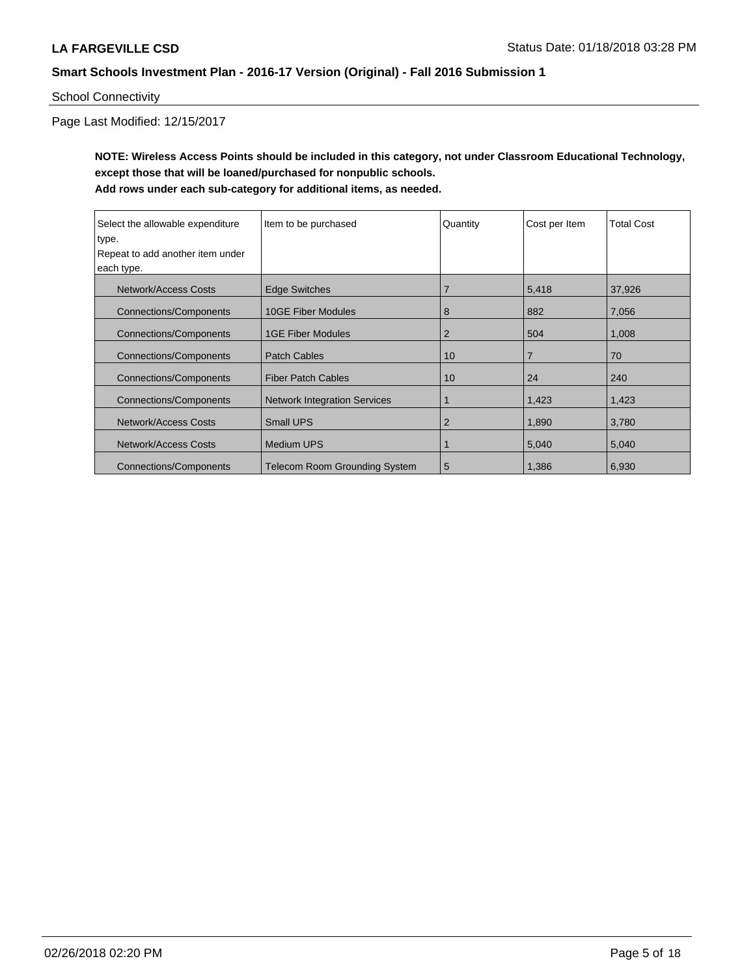School Connectivity

Page Last Modified: 12/15/2017

**NOTE: Wireless Access Points should be included in this category, not under Classroom Educational Technology, except those that will be loaned/purchased for nonpublic schools. Add rows under each sub-category for additional items, as needed.**

| Select the allowable expenditure | Item to be purchased                 | Quantity       | Cost per Item  | <b>Total Cost</b> |
|----------------------------------|--------------------------------------|----------------|----------------|-------------------|
| type.                            |                                      |                |                |                   |
| Repeat to add another item under |                                      |                |                |                   |
| each type.                       |                                      |                |                |                   |
| Network/Access Costs             | <b>Edge Switches</b>                 | $\overline{7}$ | 5,418          | 37,926            |
| <b>Connections/Components</b>    | <b>10GE Fiber Modules</b>            | 8              | 882            | 7,056             |
| <b>Connections/Components</b>    | <b>1GE Fiber Modules</b>             | $\overline{2}$ | 504            | 1,008             |
| <b>Connections/Components</b>    | <b>Patch Cables</b>                  | 10             | $\overline{7}$ | 70                |
| <b>Connections/Components</b>    | <b>Fiber Patch Cables</b>            | 10             | 24             | 240               |
| <b>Connections/Components</b>    | <b>Network Integration Services</b>  |                | 1,423          | 1,423             |
| <b>Network/Access Costs</b>      | <b>Small UPS</b>                     | 2              | 1,890          | 3,780             |
| Network/Access Costs             | <b>Medium UPS</b>                    |                | 5,040          | 5,040             |
| <b>Connections/Components</b>    | <b>Telecom Room Grounding System</b> | 5              | 1.386          | 6,930             |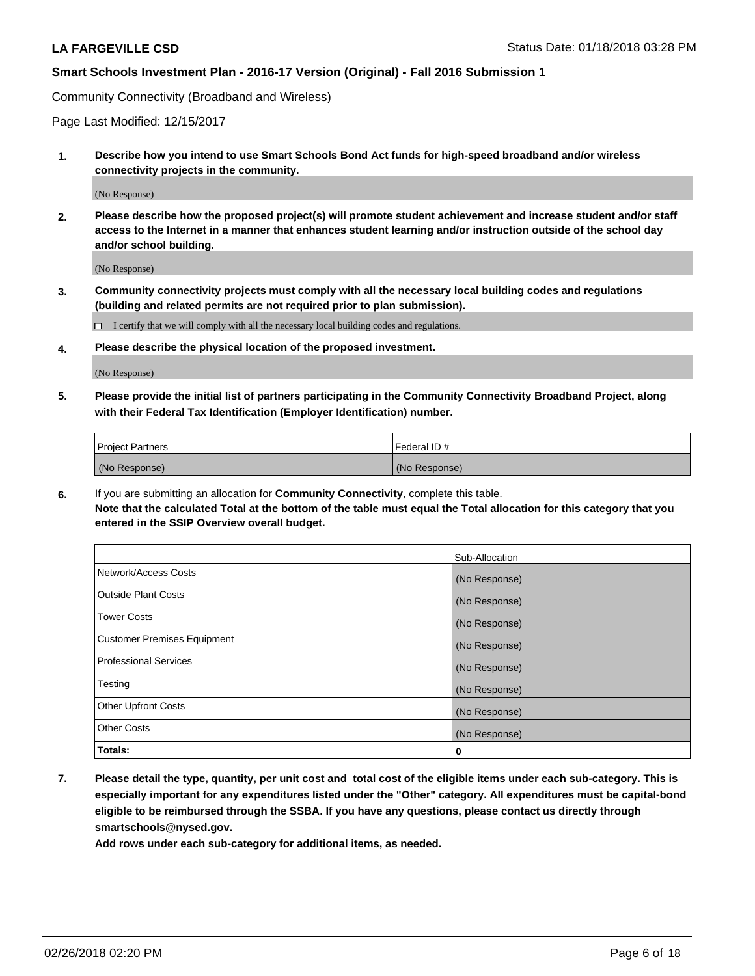Community Connectivity (Broadband and Wireless)

Page Last Modified: 12/15/2017

**1. Describe how you intend to use Smart Schools Bond Act funds for high-speed broadband and/or wireless connectivity projects in the community.**

(No Response)

**2. Please describe how the proposed project(s) will promote student achievement and increase student and/or staff access to the Internet in a manner that enhances student learning and/or instruction outside of the school day and/or school building.**

(No Response)

**3. Community connectivity projects must comply with all the necessary local building codes and regulations (building and related permits are not required prior to plan submission).**

 $\Box$  I certify that we will comply with all the necessary local building codes and regulations.

**4. Please describe the physical location of the proposed investment.**

(No Response)

**5. Please provide the initial list of partners participating in the Community Connectivity Broadband Project, along with their Federal Tax Identification (Employer Identification) number.**

| <b>Project Partners</b> | Federal ID#   |
|-------------------------|---------------|
| (No Response)           | (No Response) |

**6.** If you are submitting an allocation for **Community Connectivity**, complete this table. **Note that the calculated Total at the bottom of the table must equal the Total allocation for this category that you entered in the SSIP Overview overall budget.**

|                                    | Sub-Allocation |
|------------------------------------|----------------|
| Network/Access Costs               | (No Response)  |
| Outside Plant Costs                | (No Response)  |
| <b>Tower Costs</b>                 | (No Response)  |
| <b>Customer Premises Equipment</b> | (No Response)  |
| <b>Professional Services</b>       | (No Response)  |
| Testing                            | (No Response)  |
| <b>Other Upfront Costs</b>         | (No Response)  |
| <b>Other Costs</b>                 | (No Response)  |
| Totals:                            | 0              |

**7. Please detail the type, quantity, per unit cost and total cost of the eligible items under each sub-category. This is especially important for any expenditures listed under the "Other" category. All expenditures must be capital-bond eligible to be reimbursed through the SSBA. If you have any questions, please contact us directly through smartschools@nysed.gov.**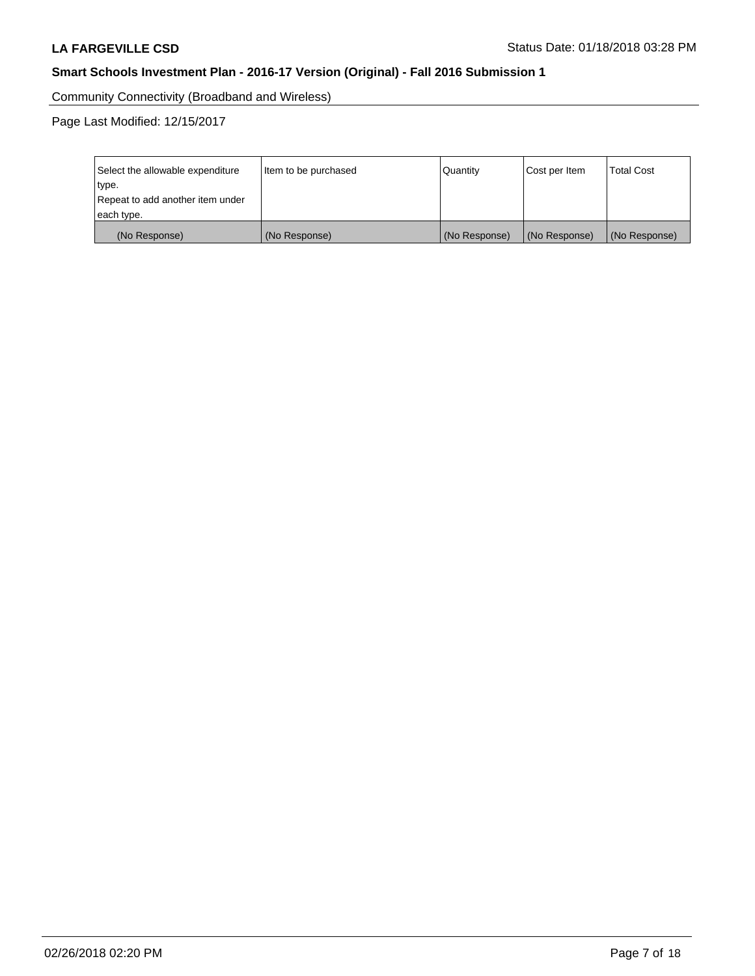Community Connectivity (Broadband and Wireless)

| Select the allowable expenditure<br>type.<br>Repeat to add another item under | Item to be purchased | Quantity      | Cost per Item | <b>Total Cost</b> |
|-------------------------------------------------------------------------------|----------------------|---------------|---------------|-------------------|
| each type.                                                                    |                      |               |               |                   |
| (No Response)                                                                 | (No Response)        | (No Response) | (No Response) | (No Response)     |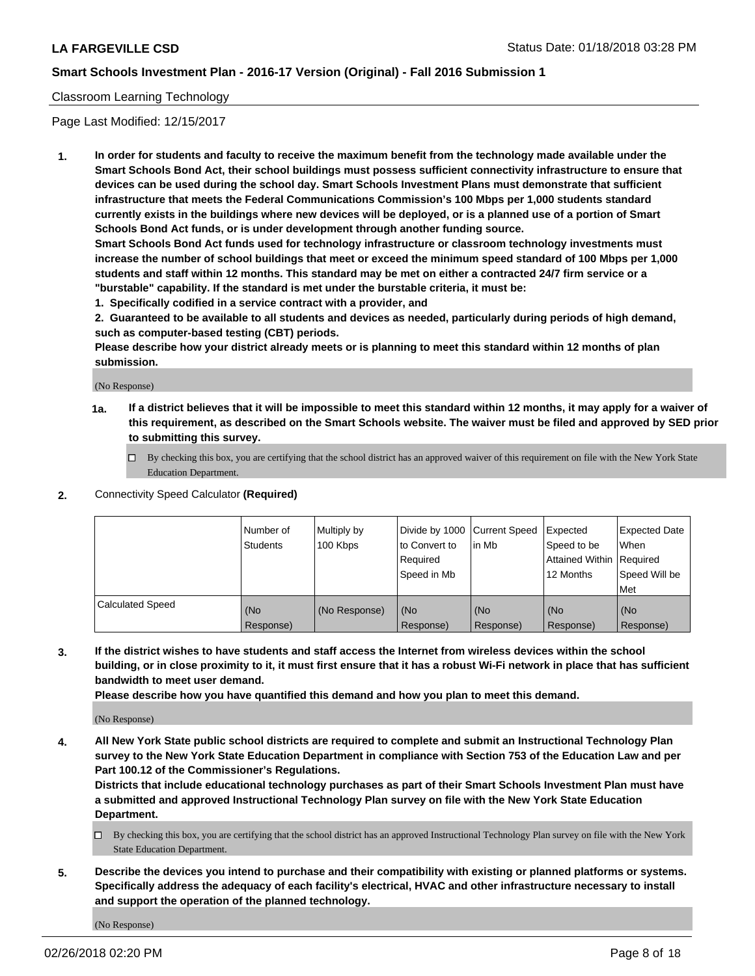#### Classroom Learning Technology

Page Last Modified: 12/15/2017

**1. In order for students and faculty to receive the maximum benefit from the technology made available under the Smart Schools Bond Act, their school buildings must possess sufficient connectivity infrastructure to ensure that devices can be used during the school day. Smart Schools Investment Plans must demonstrate that sufficient infrastructure that meets the Federal Communications Commission's 100 Mbps per 1,000 students standard currently exists in the buildings where new devices will be deployed, or is a planned use of a portion of Smart Schools Bond Act funds, or is under development through another funding source.**

**Smart Schools Bond Act funds used for technology infrastructure or classroom technology investments must increase the number of school buildings that meet or exceed the minimum speed standard of 100 Mbps per 1,000 students and staff within 12 months. This standard may be met on either a contracted 24/7 firm service or a "burstable" capability. If the standard is met under the burstable criteria, it must be:**

**1. Specifically codified in a service contract with a provider, and**

**2. Guaranteed to be available to all students and devices as needed, particularly during periods of high demand, such as computer-based testing (CBT) periods.**

**Please describe how your district already meets or is planning to meet this standard within 12 months of plan submission.**

(No Response)

- **1a. If a district believes that it will be impossible to meet this standard within 12 months, it may apply for a waiver of this requirement, as described on the Smart Schools website. The waiver must be filed and approved by SED prior to submitting this survey.**
	- By checking this box, you are certifying that the school district has an approved waiver of this requirement on file with the New York State Education Department.
- **2.** Connectivity Speed Calculator **(Required)**

|                         | Number of<br><b>Students</b> | Multiply by<br>100 Kbps | Divide by 1000 Current Speed<br>to Convert to<br>Required<br>Speed in Mb | l in Mb          | Expected<br>Speed to be<br>Attained Within Required<br>12 Months | Expected Date<br>When<br>Speed Will be<br>Met |
|-------------------------|------------------------------|-------------------------|--------------------------------------------------------------------------|------------------|------------------------------------------------------------------|-----------------------------------------------|
| <b>Calculated Speed</b> | (No<br>Response)             | (No Response)           | (No<br>Response)                                                         | (No<br>Response) | (No<br>Response)                                                 | (No<br>Response)                              |

**3. If the district wishes to have students and staff access the Internet from wireless devices within the school building, or in close proximity to it, it must first ensure that it has a robust Wi-Fi network in place that has sufficient bandwidth to meet user demand.**

**Please describe how you have quantified this demand and how you plan to meet this demand.**

(No Response)

**4. All New York State public school districts are required to complete and submit an Instructional Technology Plan survey to the New York State Education Department in compliance with Section 753 of the Education Law and per Part 100.12 of the Commissioner's Regulations.**

**Districts that include educational technology purchases as part of their Smart Schools Investment Plan must have a submitted and approved Instructional Technology Plan survey on file with the New York State Education Department.**

- By checking this box, you are certifying that the school district has an approved Instructional Technology Plan survey on file with the New York State Education Department.
- **5. Describe the devices you intend to purchase and their compatibility with existing or planned platforms or systems. Specifically address the adequacy of each facility's electrical, HVAC and other infrastructure necessary to install and support the operation of the planned technology.**

(No Response)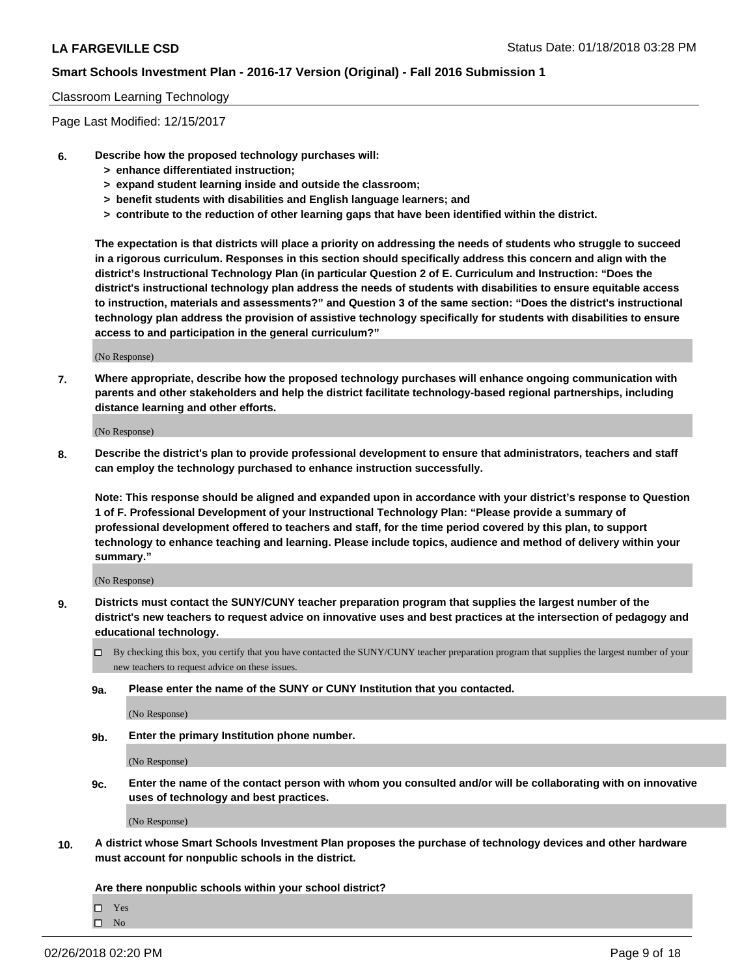#### Classroom Learning Technology

Page Last Modified: 12/15/2017

- **6. Describe how the proposed technology purchases will:**
	- **> enhance differentiated instruction;**
	- **> expand student learning inside and outside the classroom;**
	- **> benefit students with disabilities and English language learners; and**
	- **> contribute to the reduction of other learning gaps that have been identified within the district.**

**The expectation is that districts will place a priority on addressing the needs of students who struggle to succeed in a rigorous curriculum. Responses in this section should specifically address this concern and align with the district's Instructional Technology Plan (in particular Question 2 of E. Curriculum and Instruction: "Does the district's instructional technology plan address the needs of students with disabilities to ensure equitable access to instruction, materials and assessments?" and Question 3 of the same section: "Does the district's instructional technology plan address the provision of assistive technology specifically for students with disabilities to ensure access to and participation in the general curriculum?"**

(No Response)

**7. Where appropriate, describe how the proposed technology purchases will enhance ongoing communication with parents and other stakeholders and help the district facilitate technology-based regional partnerships, including distance learning and other efforts.**

(No Response)

**8. Describe the district's plan to provide professional development to ensure that administrators, teachers and staff can employ the technology purchased to enhance instruction successfully.**

**Note: This response should be aligned and expanded upon in accordance with your district's response to Question 1 of F. Professional Development of your Instructional Technology Plan: "Please provide a summary of professional development offered to teachers and staff, for the time period covered by this plan, to support technology to enhance teaching and learning. Please include topics, audience and method of delivery within your summary."**

(No Response)

- **9. Districts must contact the SUNY/CUNY teacher preparation program that supplies the largest number of the district's new teachers to request advice on innovative uses and best practices at the intersection of pedagogy and educational technology.**
	- By checking this box, you certify that you have contacted the SUNY/CUNY teacher preparation program that supplies the largest number of your new teachers to request advice on these issues.
	- **9a. Please enter the name of the SUNY or CUNY Institution that you contacted.**

(No Response)

**9b. Enter the primary Institution phone number.**

(No Response)

**9c. Enter the name of the contact person with whom you consulted and/or will be collaborating with on innovative uses of technology and best practices.**

(No Response)

**10. A district whose Smart Schools Investment Plan proposes the purchase of technology devices and other hardware must account for nonpublic schools in the district.**

**Are there nonpublic schools within your school district?**

Yes

 $\square$  No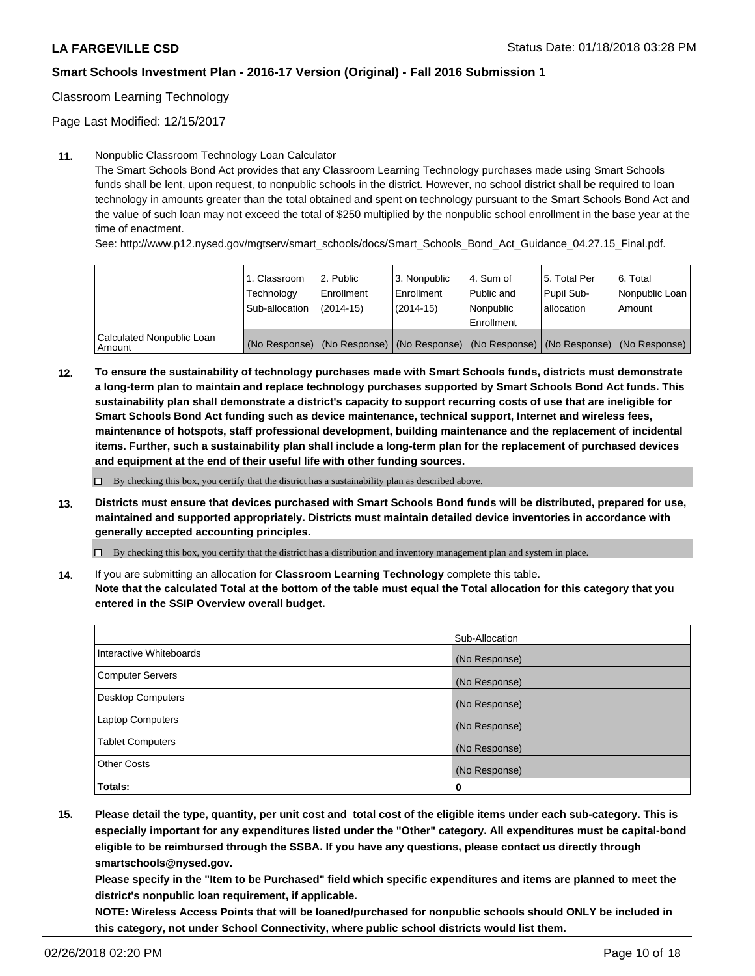Classroom Learning Technology

Page Last Modified: 12/15/2017

#### **11.** Nonpublic Classroom Technology Loan Calculator

The Smart Schools Bond Act provides that any Classroom Learning Technology purchases made using Smart Schools funds shall be lent, upon request, to nonpublic schools in the district. However, no school district shall be required to loan technology in amounts greater than the total obtained and spent on technology pursuant to the Smart Schools Bond Act and the value of such loan may not exceed the total of \$250 multiplied by the nonpublic school enrollment in the base year at the time of enactment.

See: http://www.p12.nysed.gov/mgtserv/smart\_schools/docs/Smart\_Schools\_Bond\_Act\_Guidance\_04.27.15\_Final.pdf.

|                                       | 1. Classroom<br>Technology<br>Sub-allocation | l 2. Public<br>Enrollment<br>$(2014 - 15)$ | l 3. Nonpublic<br>Enrollment<br>(2014-15) | 4. Sum of<br>Public and<br>l Nonpublic<br>Enrollment | l 5. Total Per<br>Pupil Sub-<br>lallocation                                                   | l 6. Total<br>Nonpublic Loan<br>Amount |
|---------------------------------------|----------------------------------------------|--------------------------------------------|-------------------------------------------|------------------------------------------------------|-----------------------------------------------------------------------------------------------|----------------------------------------|
| Calculated Nonpublic Loan<br>l Amount |                                              |                                            |                                           |                                                      | (No Response)   (No Response)   (No Response)   (No Response)   (No Response)   (No Response) |                                        |

**12. To ensure the sustainability of technology purchases made with Smart Schools funds, districts must demonstrate a long-term plan to maintain and replace technology purchases supported by Smart Schools Bond Act funds. This sustainability plan shall demonstrate a district's capacity to support recurring costs of use that are ineligible for Smart Schools Bond Act funding such as device maintenance, technical support, Internet and wireless fees, maintenance of hotspots, staff professional development, building maintenance and the replacement of incidental items. Further, such a sustainability plan shall include a long-term plan for the replacement of purchased devices and equipment at the end of their useful life with other funding sources.**

 $\square$  By checking this box, you certify that the district has a sustainability plan as described above.

**13. Districts must ensure that devices purchased with Smart Schools Bond funds will be distributed, prepared for use, maintained and supported appropriately. Districts must maintain detailed device inventories in accordance with generally accepted accounting principles.**

By checking this box, you certify that the district has a distribution and inventory management plan and system in place.

**14.** If you are submitting an allocation for **Classroom Learning Technology** complete this table.

**Note that the calculated Total at the bottom of the table must equal the Total allocation for this category that you entered in the SSIP Overview overall budget.**

|                          | Sub-Allocation |
|--------------------------|----------------|
| Interactive Whiteboards  | (No Response)  |
| <b>Computer Servers</b>  | (No Response)  |
| <b>Desktop Computers</b> | (No Response)  |
| Laptop Computers         | (No Response)  |
| <b>Tablet Computers</b>  | (No Response)  |
| <b>Other Costs</b>       | (No Response)  |
| Totals:                  | 0              |

**15. Please detail the type, quantity, per unit cost and total cost of the eligible items under each sub-category. This is especially important for any expenditures listed under the "Other" category. All expenditures must be capital-bond eligible to be reimbursed through the SSBA. If you have any questions, please contact us directly through smartschools@nysed.gov.**

**Please specify in the "Item to be Purchased" field which specific expenditures and items are planned to meet the district's nonpublic loan requirement, if applicable.**

**NOTE: Wireless Access Points that will be loaned/purchased for nonpublic schools should ONLY be included in this category, not under School Connectivity, where public school districts would list them.**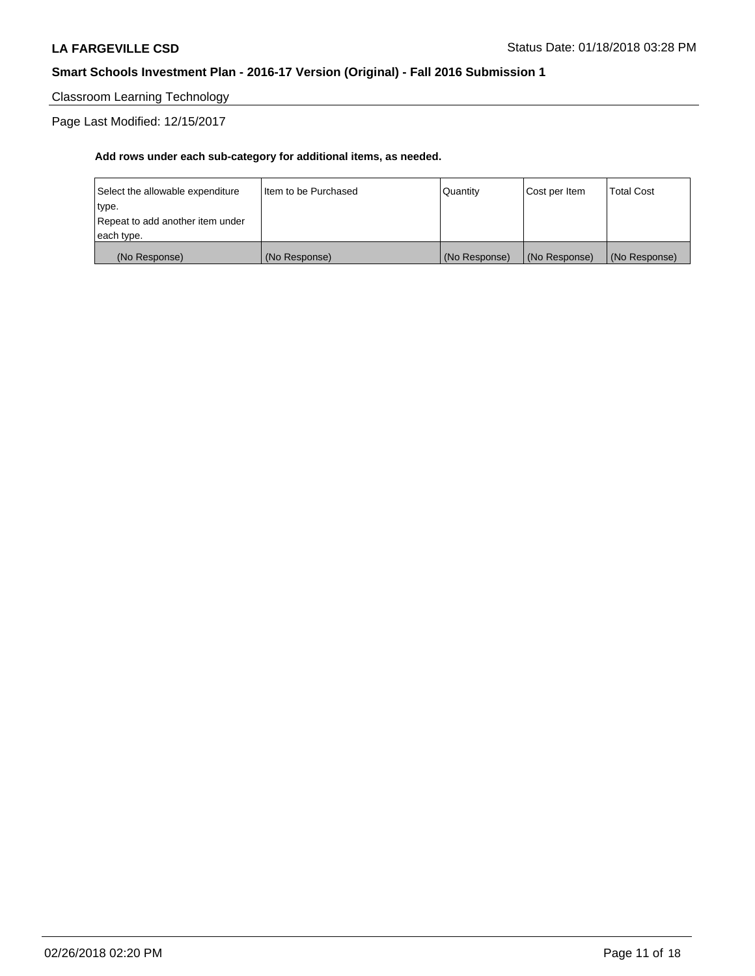Classroom Learning Technology

Page Last Modified: 12/15/2017

| (No Response)                    | (No Response)          | (No Response) | (No Response) | (No Response)     |
|----------------------------------|------------------------|---------------|---------------|-------------------|
| each type.                       |                        |               |               |                   |
| Repeat to add another item under |                        |               |               |                   |
| type.                            |                        |               |               |                   |
| Select the allowable expenditure | I Item to be Purchased | l Quantitv    | Cost per Item | <b>Total Cost</b> |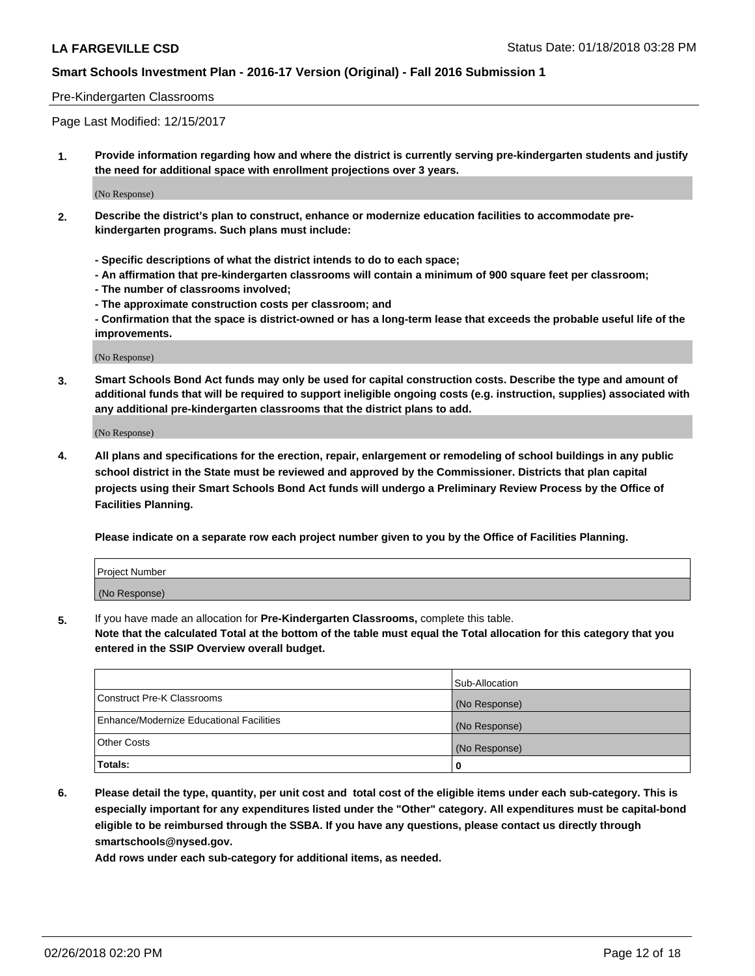#### Pre-Kindergarten Classrooms

Page Last Modified: 12/15/2017

**1. Provide information regarding how and where the district is currently serving pre-kindergarten students and justify the need for additional space with enrollment projections over 3 years.**

(No Response)

- **2. Describe the district's plan to construct, enhance or modernize education facilities to accommodate prekindergarten programs. Such plans must include:**
	- **Specific descriptions of what the district intends to do to each space;**
	- **An affirmation that pre-kindergarten classrooms will contain a minimum of 900 square feet per classroom;**
	- **The number of classrooms involved;**
	- **The approximate construction costs per classroom; and**
	- **Confirmation that the space is district-owned or has a long-term lease that exceeds the probable useful life of the improvements.**

(No Response)

**3. Smart Schools Bond Act funds may only be used for capital construction costs. Describe the type and amount of additional funds that will be required to support ineligible ongoing costs (e.g. instruction, supplies) associated with any additional pre-kindergarten classrooms that the district plans to add.**

(No Response)

**4. All plans and specifications for the erection, repair, enlargement or remodeling of school buildings in any public school district in the State must be reviewed and approved by the Commissioner. Districts that plan capital projects using their Smart Schools Bond Act funds will undergo a Preliminary Review Process by the Office of Facilities Planning.**

**Please indicate on a separate row each project number given to you by the Office of Facilities Planning.**

| <b>Project Number</b> |  |
|-----------------------|--|
| (No Response)         |  |

**5.** If you have made an allocation for **Pre-Kindergarten Classrooms,** complete this table.

**Note that the calculated Total at the bottom of the table must equal the Total allocation for this category that you entered in the SSIP Overview overall budget.**

|                                          | Sub-Allocation |
|------------------------------------------|----------------|
| Construct Pre-K Classrooms               | (No Response)  |
| Enhance/Modernize Educational Facilities | (No Response)  |
| Other Costs                              | (No Response)  |
| Totals:                                  | 0              |

**6. Please detail the type, quantity, per unit cost and total cost of the eligible items under each sub-category. This is especially important for any expenditures listed under the "Other" category. All expenditures must be capital-bond eligible to be reimbursed through the SSBA. If you have any questions, please contact us directly through smartschools@nysed.gov.**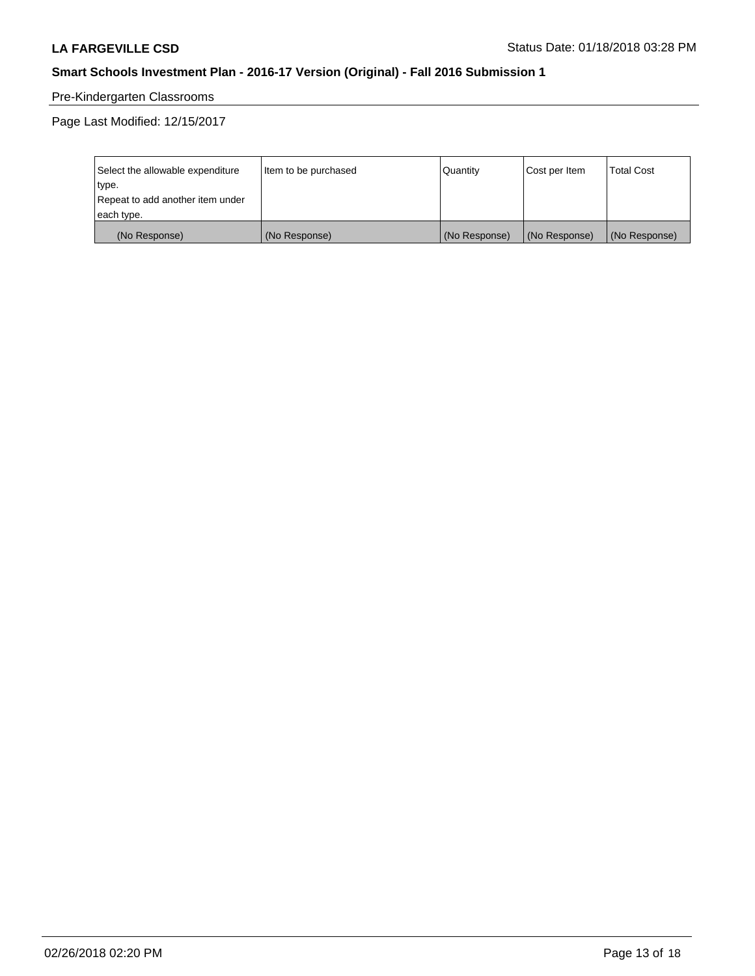# Pre-Kindergarten Classrooms

| Select the allowable expenditure | Item to be purchased | Quantity      | Cost per Item | <b>Total Cost</b> |
|----------------------------------|----------------------|---------------|---------------|-------------------|
| type.                            |                      |               |               |                   |
| Repeat to add another item under |                      |               |               |                   |
| each type.                       |                      |               |               |                   |
| (No Response)                    | (No Response)        | (No Response) | (No Response) | (No Response)     |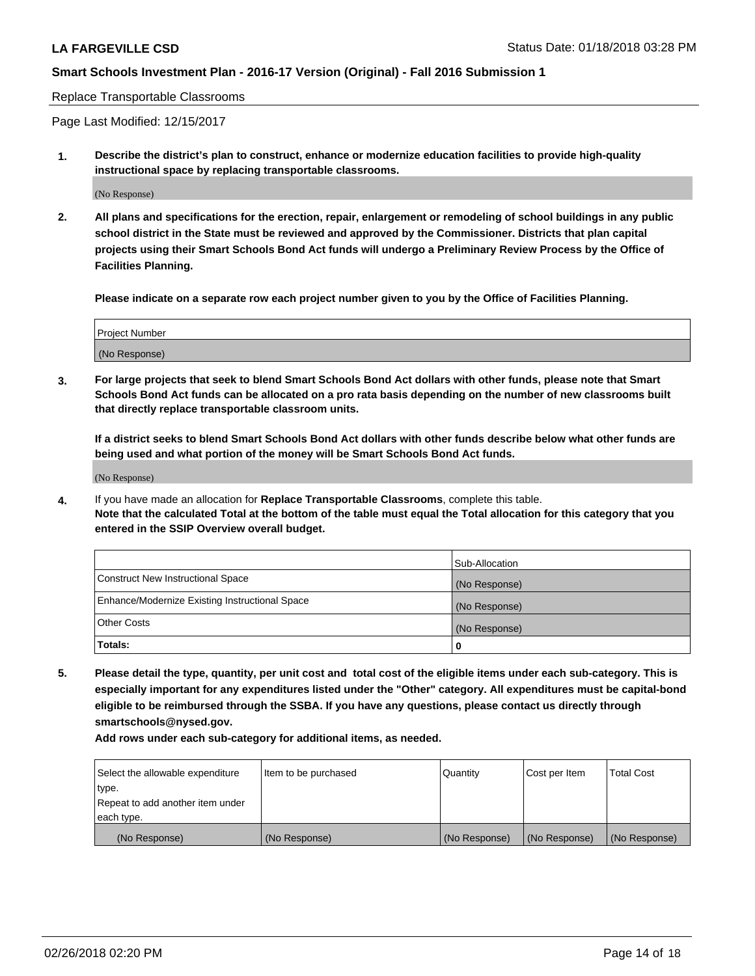Replace Transportable Classrooms

Page Last Modified: 12/15/2017

**1. Describe the district's plan to construct, enhance or modernize education facilities to provide high-quality instructional space by replacing transportable classrooms.**

(No Response)

**2. All plans and specifications for the erection, repair, enlargement or remodeling of school buildings in any public school district in the State must be reviewed and approved by the Commissioner. Districts that plan capital projects using their Smart Schools Bond Act funds will undergo a Preliminary Review Process by the Office of Facilities Planning.**

**Please indicate on a separate row each project number given to you by the Office of Facilities Planning.**

| <b>Project Number</b> |  |
|-----------------------|--|
| (No Response)         |  |
|                       |  |

**3. For large projects that seek to blend Smart Schools Bond Act dollars with other funds, please note that Smart Schools Bond Act funds can be allocated on a pro rata basis depending on the number of new classrooms built that directly replace transportable classroom units.**

**If a district seeks to blend Smart Schools Bond Act dollars with other funds describe below what other funds are being used and what portion of the money will be Smart Schools Bond Act funds.**

(No Response)

**4.** If you have made an allocation for **Replace Transportable Classrooms**, complete this table. **Note that the calculated Total at the bottom of the table must equal the Total allocation for this category that you entered in the SSIP Overview overall budget.**

|                                                | Sub-Allocation |
|------------------------------------------------|----------------|
| Construct New Instructional Space              | (No Response)  |
| Enhance/Modernize Existing Instructional Space | (No Response)  |
| Other Costs                                    | (No Response)  |
| Totals:                                        | 0              |

**5. Please detail the type, quantity, per unit cost and total cost of the eligible items under each sub-category. This is especially important for any expenditures listed under the "Other" category. All expenditures must be capital-bond eligible to be reimbursed through the SSBA. If you have any questions, please contact us directly through smartschools@nysed.gov.**

| Select the allowable expenditure<br>type. | Item to be purchased | Quantity      | Cost per Item | <b>Total Cost</b> |
|-------------------------------------------|----------------------|---------------|---------------|-------------------|
| Repeat to add another item under          |                      |               |               |                   |
| each type.                                |                      |               |               |                   |
| (No Response)                             | (No Response)        | (No Response) | (No Response) | (No Response)     |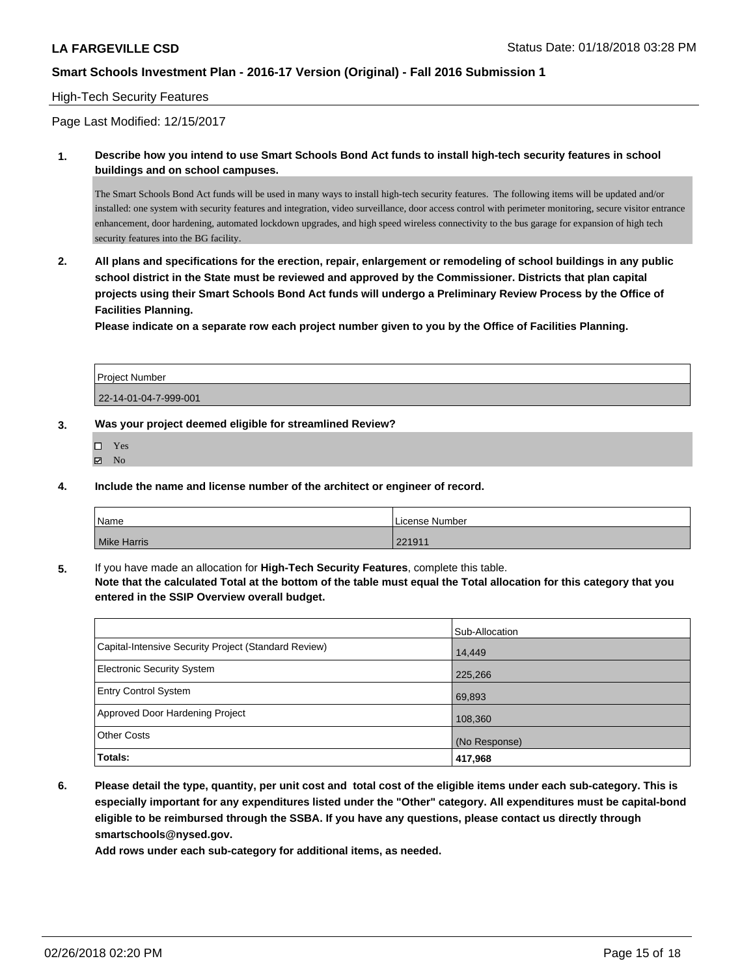#### High-Tech Security Features

Page Last Modified: 12/15/2017

**1. Describe how you intend to use Smart Schools Bond Act funds to install high-tech security features in school buildings and on school campuses.**

The Smart Schools Bond Act funds will be used in many ways to install high-tech security features. The following items will be updated and/or installed: one system with security features and integration, video surveillance, door access control with perimeter monitoring, secure visitor entrance enhancement, door hardening, automated lockdown upgrades, and high speed wireless connectivity to the bus garage for expansion of high tech security features into the BG facility.

**2. All plans and specifications for the erection, repair, enlargement or remodeling of school buildings in any public school district in the State must be reviewed and approved by the Commissioner. Districts that plan capital projects using their Smart Schools Bond Act funds will undergo a Preliminary Review Process by the Office of Facilities Planning.** 

**Please indicate on a separate row each project number given to you by the Office of Facilities Planning.**

| <b>Project Number</b> |  |
|-----------------------|--|
| 22-14-01-04-7-999-001 |  |

- **3. Was your project deemed eligible for streamlined Review?**
	- Yes
	- $\boxtimes$  No
- **4. Include the name and license number of the architect or engineer of record.**

| 'Name              | License Number            |
|--------------------|---------------------------|
| <b>Mike Harris</b> | $001011$<br><b>ZZ1911</b> |

**5.** If you have made an allocation for **High-Tech Security Features**, complete this table. **Note that the calculated Total at the bottom of the table must equal the Total allocation for this category that you**

**entered in the SSIP Overview overall budget.**

|                                                      | Sub-Allocation |
|------------------------------------------------------|----------------|
| Capital-Intensive Security Project (Standard Review) | 14,449         |
| <b>Electronic Security System</b>                    | 225,266        |
| <b>Entry Control System</b>                          | 69,893         |
| Approved Door Hardening Project                      | 108,360        |
| <b>Other Costs</b>                                   | (No Response)  |
| Totals:                                              | 417,968        |

**6. Please detail the type, quantity, per unit cost and total cost of the eligible items under each sub-category. This is especially important for any expenditures listed under the "Other" category. All expenditures must be capital-bond eligible to be reimbursed through the SSBA. If you have any questions, please contact us directly through smartschools@nysed.gov.**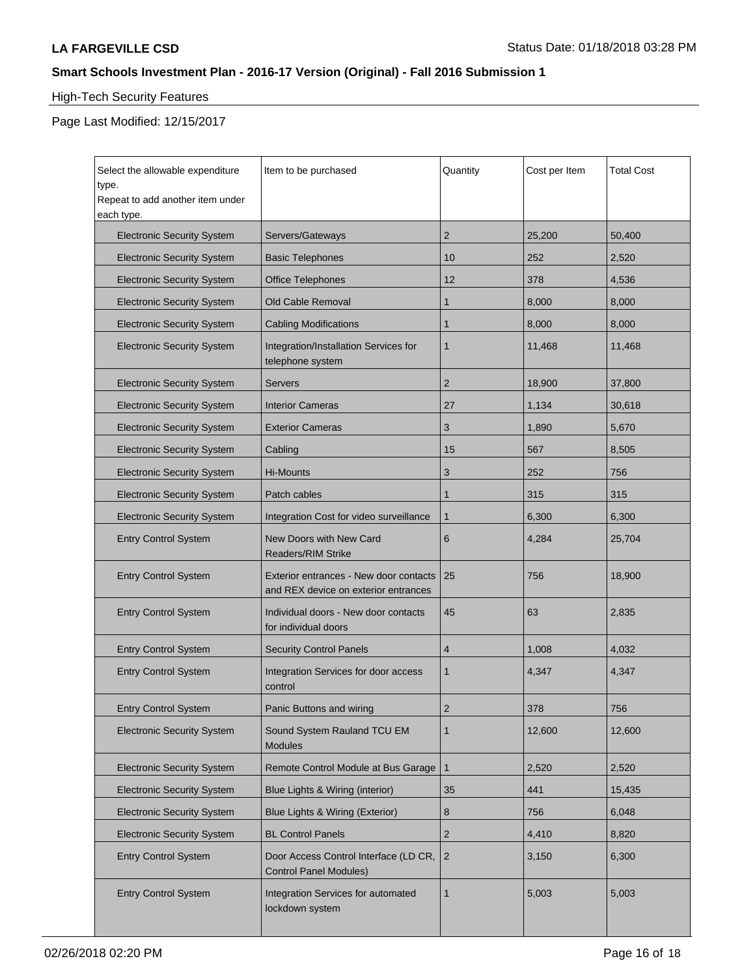# High-Tech Security Features

| Select the allowable expenditure<br>type.<br>Repeat to add another item under<br>each type. | Item to be purchased                                                           | Quantity       | Cost per Item | <b>Total Cost</b> |
|---------------------------------------------------------------------------------------------|--------------------------------------------------------------------------------|----------------|---------------|-------------------|
| <b>Electronic Security System</b>                                                           | Servers/Gateways                                                               | $\overline{2}$ | 25,200        | 50,400            |
| <b>Electronic Security System</b>                                                           | <b>Basic Telephones</b>                                                        | 10             | 252           | 2,520             |
| <b>Electronic Security System</b>                                                           | <b>Office Telephones</b>                                                       | 12             | 378           | 4,536             |
| <b>Electronic Security System</b>                                                           | Old Cable Removal                                                              | 1              | 8,000         | 8,000             |
| <b>Electronic Security System</b>                                                           | <b>Cabling Modifications</b>                                                   | $\mathbf{1}$   | 8,000         | 8,000             |
| <b>Electronic Security System</b>                                                           | Integration/Installation Services for<br>telephone system                      | $\mathbf{1}$   | 11,468        | 11,468            |
| <b>Electronic Security System</b>                                                           | Servers                                                                        | $\overline{c}$ | 18,900        | 37,800            |
| <b>Electronic Security System</b>                                                           | <b>Interior Cameras</b>                                                        | 27             | 1,134         | 30,618            |
| <b>Electronic Security System</b>                                                           | <b>Exterior Cameras</b>                                                        | 3              | 1,890         | 5,670             |
| <b>Electronic Security System</b>                                                           | Cabling                                                                        | 15             | 567           | 8,505             |
| <b>Electronic Security System</b>                                                           | Hi-Mounts                                                                      | 3              | 252           | 756               |
| <b>Electronic Security System</b>                                                           | Patch cables                                                                   | $\mathbf{1}$   | 315           | 315               |
| <b>Electronic Security System</b>                                                           | Integration Cost for video surveillance                                        | $\mathbf{1}$   | 6,300         | 6,300             |
| <b>Entry Control System</b>                                                                 | <b>New Doors with New Card</b><br><b>Readers/RIM Strike</b>                    | 6              | 4,284         | 25,704            |
| <b>Entry Control System</b>                                                                 | Exterior entrances - New door contacts<br>and REX device on exterior entrances | 25             | 756           | 18,900            |
| <b>Entry Control System</b>                                                                 | Individual doors - New door contacts<br>for individual doors                   | 45             | 63            | 2,835             |
| <b>Entry Control System</b>                                                                 | <b>Security Control Panels</b>                                                 | 4              | 1,008         | 4,032             |
| <b>Entry Control System</b>                                                                 | Integration Services for door access<br>control                                | $\mathbf{1}$   | 4,347         | 4,347             |
| <b>Entry Control System</b>                                                                 | Panic Buttons and wiring                                                       | $\overline{2}$ | 378           | 756               |
| <b>Electronic Security System</b>                                                           | Sound System Rauland TCU EM<br><b>Modules</b>                                  | $\mathbf{1}$   | 12,600        | 12,600            |
| <b>Electronic Security System</b>                                                           | Remote Control Module at Bus Garage                                            | $\mathbf{1}$   | 2,520         | 2,520             |
| <b>Electronic Security System</b>                                                           | Blue Lights & Wiring (interior)                                                | 35             | 441           | 15,435            |
| <b>Electronic Security System</b>                                                           | Blue Lights & Wiring (Exterior)                                                | 8              | 756           | 6,048             |
| <b>Electronic Security System</b>                                                           | <b>BL Control Panels</b>                                                       | $\overline{c}$ | 4,410         | 8,820             |
| <b>Entry Control System</b>                                                                 | Door Access Control Interface (LD CR,<br><b>Control Panel Modules)</b>         | $\overline{2}$ | 3,150         | 6,300             |
| <b>Entry Control System</b>                                                                 | Integration Services for automated<br>lockdown system                          | $\mathbf{1}$   | 5,003         | 5,003             |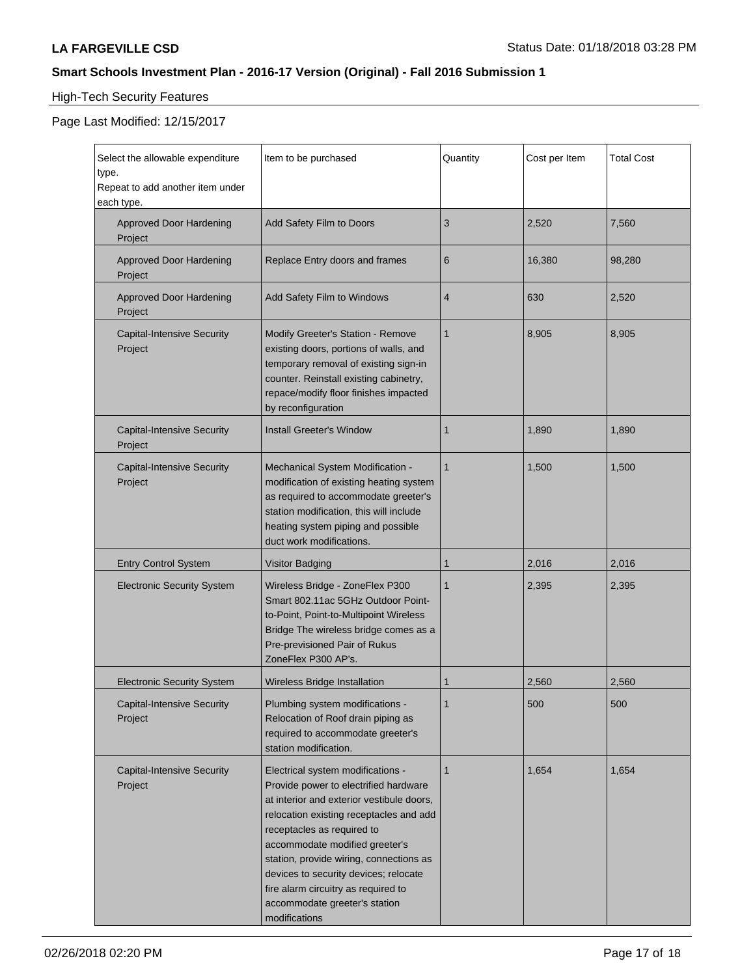# High-Tech Security Features

| Select the allowable expenditure<br>type.<br>Repeat to add another item under<br>each type. | Item to be purchased                                                                                                                                                                                                                                                                                                                                                                                            | Quantity       | Cost per Item | <b>Total Cost</b> |
|---------------------------------------------------------------------------------------------|-----------------------------------------------------------------------------------------------------------------------------------------------------------------------------------------------------------------------------------------------------------------------------------------------------------------------------------------------------------------------------------------------------------------|----------------|---------------|-------------------|
| <b>Approved Door Hardening</b><br>Project                                                   | Add Safety Film to Doors                                                                                                                                                                                                                                                                                                                                                                                        | 3              | 2,520         | 7,560             |
| <b>Approved Door Hardening</b><br>Project                                                   | Replace Entry doors and frames                                                                                                                                                                                                                                                                                                                                                                                  | 6              | 16,380        | 98,280            |
| <b>Approved Door Hardening</b><br>Project                                                   | Add Safety Film to Windows                                                                                                                                                                                                                                                                                                                                                                                      | $\overline{4}$ | 630           | 2,520             |
| <b>Capital-Intensive Security</b><br>Project                                                | Modify Greeter's Station - Remove<br>existing doors, portions of walls, and<br>temporary removal of existing sign-in<br>counter. Reinstall existing cabinetry,<br>repace/modify floor finishes impacted<br>by reconfiguration                                                                                                                                                                                   | $\mathbf{1}$   | 8,905         | 8,905             |
| <b>Capital-Intensive Security</b><br>Project                                                | <b>Install Greeter's Window</b>                                                                                                                                                                                                                                                                                                                                                                                 | 1              | 1,890         | 1,890             |
| <b>Capital-Intensive Security</b><br>Project                                                | Mechanical System Modification -<br>modification of existing heating system<br>as required to accommodate greeter's<br>station modification, this will include<br>heating system piping and possible<br>duct work modifications.                                                                                                                                                                                | $\mathbf{1}$   | 1,500         | 1,500             |
| <b>Entry Control System</b>                                                                 | Visitor Badging                                                                                                                                                                                                                                                                                                                                                                                                 | 1              | 2,016         | 2,016             |
| <b>Electronic Security System</b>                                                           | Wireless Bridge - ZoneFlex P300<br>Smart 802.11ac 5GHz Outdoor Point-<br>to-Point, Point-to-Multipoint Wireless<br>Bridge The wireless bridge comes as a<br>Pre-previsioned Pair of Rukus<br>ZoneFlex P300 AP's.                                                                                                                                                                                                | $\mathbf{1}$   | 2,395         | 2,395             |
| <b>Electronic Security System</b>                                                           | Wireless Bridge Installation                                                                                                                                                                                                                                                                                                                                                                                    | 1              | 2,560         | 2,560             |
| <b>Capital-Intensive Security</b><br>Project                                                | Plumbing system modifications -<br>Relocation of Roof drain piping as<br>required to accommodate greeter's<br>station modification.                                                                                                                                                                                                                                                                             | 1              | 500           | 500               |
| <b>Capital-Intensive Security</b><br>Project                                                | Electrical system modifications -<br>Provide power to electrified hardware<br>at interior and exterior vestibule doors,<br>relocation existing receptacles and add<br>receptacles as required to<br>accommodate modified greeter's<br>station, provide wiring, connections as<br>devices to security devices; relocate<br>fire alarm circuitry as required to<br>accommodate greeter's station<br>modifications | $\mathbf{1}$   | 1,654         | 1,654             |